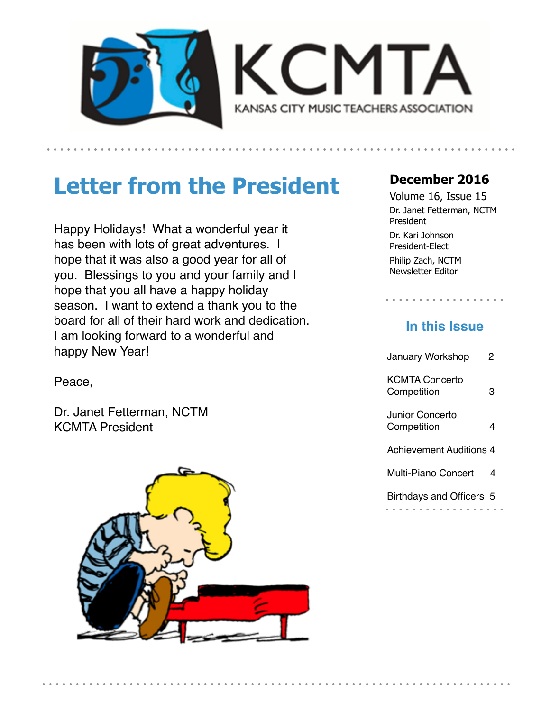



# **Letter from the President**

Happy Holidays! What a wonderful year it has been with lots of great adventures. I hope that it was also a good year for all of you. Blessings to you and your family and I hope that you all have a happy holiday season. I want to extend a thank you to the board for all of their hard work and dedication. I am looking forward to a wonderful and happy New Year!

Volume 16, Issue 15

**December 2016** 

Dr. Janet Fetterman, NCTM President Dr. Kari Johnson President-Elect

Philip Zach, NCTM Newsletter Editor

#### **In this Issue**

| <b>January Workshop</b>              | 2 |  |
|--------------------------------------|---|--|
| <b>KCMTA Concerto</b><br>Competition | з |  |
| Junior Concerto<br>Competition       | 4 |  |
| <b>Achievement Auditions 4</b>       |   |  |
| Multi-Piano Concert                  | 4 |  |
| Birthdays and Officers 5             |   |  |

Peace,

Dr. Janet Fetterman, NCTM KCMTA President

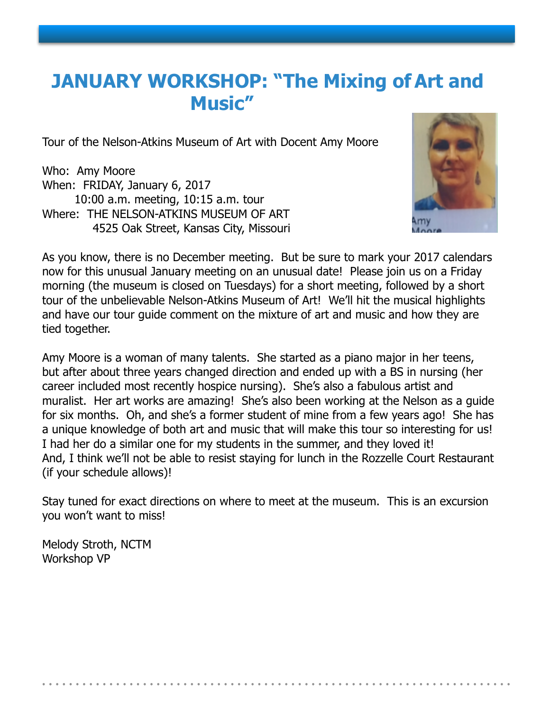## **JANUARY WORKSHOP: "The Mixing of Art and Music"**

Tour of the Nelson-Atkins Museum of Art with Docent Amy Moore

Who: Amy Moore When: FRIDAY, January 6, 2017 10:00 a.m. meeting, 10:15 a.m. tour Where: THE NELSON-ATKINS MUSEUM OF ART 4525 Oak Street, Kansas City, Missouri



As you know, there is no December meeting. But be sure to mark your 2017 calendars now for this unusual January meeting on an unusual date! Please join us on a Friday morning (the museum is closed on Tuesdays) for a short meeting, followed by a short tour of the unbelievable Nelson-Atkins Museum of Art! We'll hit the musical highlights and have our tour guide comment on the mixture of art and music and how they are tied together.

Amy Moore is a woman of many talents. She started as a piano major in her teens, but after about three years changed direction and ended up with a BS in nursing (her career included most recently hospice nursing). She's also a fabulous artist and muralist. Her art works are amazing! She's also been working at the Nelson as a guide for six months. Oh, and she's a former student of mine from a few years ago! She has a unique knowledge of both art and music that will make this tour so interesting for us! I had her do a similar one for my students in the summer, and they loved it! And, I think we'll not be able to resist staying for lunch in the Rozzelle Court Restaurant (if your schedule allows)!

Stay tuned for exact directions on where to meet at the museum. This is an excursion you won't want to miss!

Melody Stroth, NCTM Workshop VP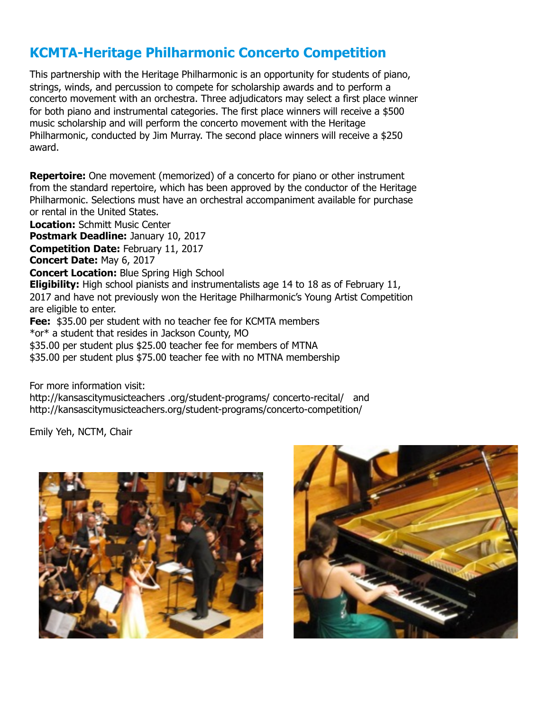#### **KCMTA-Heritage Philharmonic Concerto Competition**

This partnership with the Heritage Philharmonic is an opportunity for students of piano, strings, winds, and percussion to compete for scholarship awards and to perform a concerto movement with an orchestra. Three adjudicators may select a first place winner for both piano and instrumental categories. The first place winners will receive a \$500 music scholarship and will perform the concerto movement with the Heritage Philharmonic, conducted by Jim Murray. The second place winners will receive a \$250 award.

**Repertoire:** One movement (memorized) of a concerto for piano or other instrument from the standard repertoire, which has been approved by the conductor of the Heritage Philharmonic. Selections must have an orchestral accompaniment available for purchase or rental in the United States.

**Location:** Schmitt Music Center

**Postmark Deadline:** January 10, 2017

**Competition Date:** February 11, 2017

**Concert Date:** May 6, 2017

**Concert Location:** Blue Spring High School

**Eligibility:** High school pianists and instrumentalists age 14 to 18 as of February 11, 2017 and have not previously won the Heritage Philharmonic's Young Artist Competition are eligible to enter.

**Fee:** \$35.00 per student with no teacher fee for KCMTA members

\*or\* a student that resides in Jackson County, MO

\$35.00 per student plus \$25.00 teacher fee for members of MTNA

\$35.00 per student plus \$75.00 teacher fee with no MTNA membership

For more information visit:

http://kansascitymusicteachers .org/student-programs/ concerto-recital/ and <http://kansascitymusicteachers.org/student-programs/concerto-competition/>

Emily Yeh, NCTM, Chair



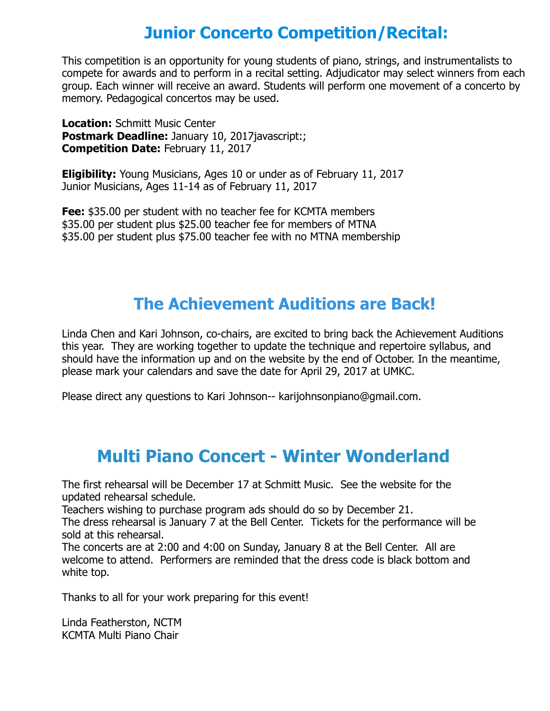#### **Junior Concerto Competition/Recital:**

This competition is an opportunity for young students of piano, strings, and instrumentalists to compete for awards and to perform in a recital setting. Adjudicator may select winners from each group. Each winner will receive an award. Students will perform one movement of a concerto by memory. Pedagogical concertos may be used.

**Location:** Schmitt Music Center **Postmark Deadline: January 10, 2017javascript:; Competition Date:** February 11, 2017

**Eligibility:** Young Musicians, Ages 10 or under as of February 11, 2017 Junior Musicians, Ages 11-14 as of February 11, 2017

**Fee:** \$35.00 per student with no teacher fee for KCMTA members \$35.00 per student plus \$25.00 teacher fee for members of MTNA \$35.00 per student plus \$75.00 teacher fee with no MTNA membership

### **The Achievement Auditions are Back!**

Linda Chen and Kari Johnson, co-chairs, are excited to bring back the Achievement Auditions this year. They are working together to update the technique and repertoire syllabus, and should have the information up and on the website by the end of October. In the meantime, please mark your calendars and save the date for April 29, 2017 at UMKC.

Please direct any questions to Kari Johnson-- karijohnsonpiano@gmail.com.

### **Multi Piano Concert - Winter Wonderland**

The first rehearsal will be December 17 at Schmitt Music. See the website for the updated rehearsal schedule.

Teachers wishing to purchase program ads should do so by December 21.

The dress rehearsal is January 7 at the Bell Center. Tickets for the performance will be sold at this rehearsal.

The concerts are at 2:00 and 4:00 on Sunday, January 8 at the Bell Center. All are welcome to attend. Performers are reminded that the dress code is black bottom and white top.

Thanks to all for your work preparing for this event!

Linda Featherston, NCTM KCMTA Multi Piano Chair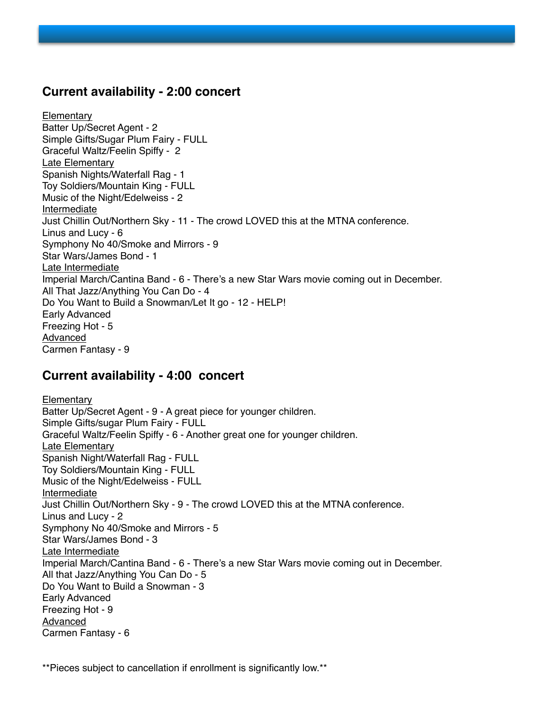#### **Current availability - 2:00 concert**

**Elementary** Batter Up/Secret Agent - 2 Simple Gifts/Sugar Plum Fairy - FULL Graceful Waltz/Feelin Spiffy - 2 Late Elementary Spanish Nights/Waterfall Rag - 1 Toy Soldiers/Mountain King - FULL Music of the Night/Edelweiss - 2 Intermediate Just Chillin Out/Northern Sky - 11 - The crowd LOVED this at the MTNA conference. Linus and Lucy - 6 Symphony No 40/Smoke and Mirrors - 9 Star Wars/James Bond - 1 Late Intermediate Imperial March/Cantina Band - 6 - There's a new Star Wars movie coming out in December. All That Jazz/Anything You Can Do - 4 Do You Want to Build a Snowman/Let It go - 12 - HELP! Early Advanced Freezing Hot - 5 Advanced Carmen Fantasy - 9

#### **Current availability - 4:00 concert**

**Elementary** Batter Up/Secret Agent - 9 - A great piece for younger children. Simple Gifts/sugar Plum Fairy - FULL Graceful Waltz/Feelin Spiffy - 6 - Another great one for younger children. **Late Elementarv** Spanish Night/Waterfall Rag - FULL Toy Soldiers/Mountain King - FULL Music of the Night/Edelweiss - FULL Intermediate Just Chillin Out/Northern Sky - 9 - The crowd LOVED this at the MTNA conference. Linus and Lucy - 2 Symphony No 40/Smoke and Mirrors - 5 Star Wars/James Bond - 3 Late Intermediate Imperial March/Cantina Band - 6 - There's a new Star Wars movie coming out in December. All that Jazz/Anything You Can Do - 5 Do You Want to Build a Snowman - 3 Early Advanced Freezing Hot - 9 Advanced Carmen Fantasy - 6

\*\*Pieces subject to cancellation if enrollment is significantly low.\*\*